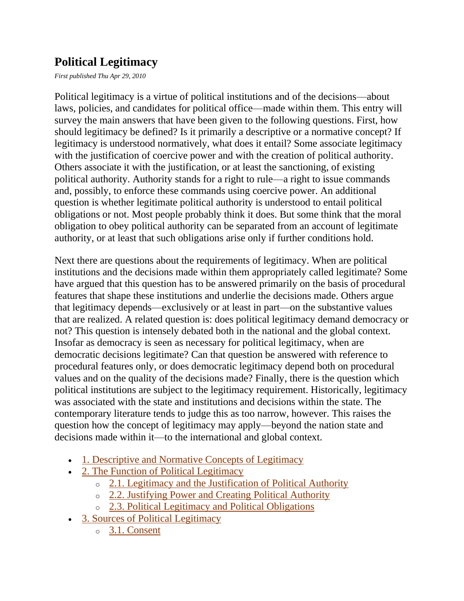# **Political Legitimacy**

*First published Thu Apr 29, 2010*

Political legitimacy is a virtue of political institutions and of the decisions—about laws, policies, and candidates for political office—made within them. This entry will survey the main answers that have been given to the following questions. First, how should legitimacy be defined? Is it primarily a descriptive or a normative concept? If legitimacy is understood normatively, what does it entail? Some associate legitimacy with the justification of coercive power and with the creation of political authority. Others associate it with the justification, or at least the sanctioning, of existing political authority. Authority stands for a right to rule—a right to issue commands and, possibly, to enforce these commands using coercive power. An additional question is whether legitimate political authority is understood to entail political obligations or not. Most people probably think it does. But some think that the moral obligation to obey political authority can be separated from an account of legitimate authority, or at least that such obligations arise only if further conditions hold.

Next there are questions about the requirements of legitimacy. When are political institutions and the decisions made within them appropriately called legitimate? Some have argued that this question has to be answered primarily on the basis of procedural features that shape these institutions and underlie the decisions made. Others argue that legitimacy depends—exclusively or at least in part—on the substantive values that are realized. A related question is: does political legitimacy demand democracy or not? This question is intensely debated both in the national and the global context. Insofar as democracy is seen as necessary for political legitimacy, when are democratic decisions legitimate? Can that question be answered with reference to procedural features only, or does democratic legitimacy depend both on procedural values and on the quality of the decisions made? Finally, there is the question which political institutions are subject to the legitimacy requirement. Historically, legitimacy was associated with the state and institutions and decisions within the state. The contemporary literature tends to judge this as too narrow, however. This raises the question how the concept of legitimacy may apply—beyond the nation state and decisions made within it—to the international and global context.

- [1. Descriptive and Normative Concepts of Legitimacy](http://plato.stanford.edu/entries/legitimacy/#DesNorConLeg)
- [2. The Function of Political Legitimacy](http://plato.stanford.edu/entries/legitimacy/#FunPolLeg)
	- o [2.1. Legitimacy and the Justification of Political Authority](http://plato.stanford.edu/entries/legitimacy/#LegJusPolAut)
	- o [2.2. Justifying Power and Creating Political Authority](http://plato.stanford.edu/entries/legitimacy/#JusPowCrePolAut)
	- o [2.3. Political Legitimacy and Political Obligations](http://plato.stanford.edu/entries/legitimacy/#PolLegPolObl)
- [3. Sources of Political Legitimacy](http://plato.stanford.edu/entries/legitimacy/#SouPolLeg)
	- o [3.1. Consent](http://plato.stanford.edu/entries/legitimacy/#Con)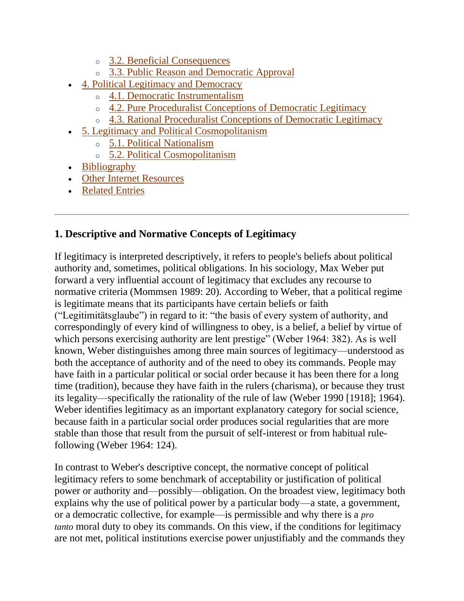- o [3.2. Beneficial Consequences](http://plato.stanford.edu/entries/legitimacy/#BenCon)
- o [3.3. Public Reason and Democratic Approval](http://plato.stanford.edu/entries/legitimacy/#PubReaDemApp)
- [4. Political Legitimacy and Democracy](http://plato.stanford.edu/entries/legitimacy/#PolLegDem)
	- o [4.1. Democratic Instrumentalism](http://plato.stanford.edu/entries/legitimacy/#DemIns)
	- o [4.2. Pure Proceduralist Conceptions of Democratic Legitimacy](http://plato.stanford.edu/entries/legitimacy/#PurProConDemLeg)
	- o [4.3. Rational Proceduralist Conceptions of Democratic Legitimacy](http://plato.stanford.edu/entries/legitimacy/#RatProConDemLeg)
- [5. Legitimacy and Political Cosmopolitanism](http://plato.stanford.edu/entries/legitimacy/#LegPolCos)
	- o [5.1. Political Nationalism](http://plato.stanford.edu/entries/legitimacy/#PolNat)
	- o [5.2. Political Cosmopolitanism](http://plato.stanford.edu/entries/legitimacy/#PolCos)
- [Bibliography](http://plato.stanford.edu/entries/legitimacy/#Bib)
- [Other Internet Resources](http://plato.stanford.edu/entries/legitimacy/#Oth)
- [Related Entries](http://plato.stanford.edu/entries/legitimacy/#Rel)

### **1. Descriptive and Normative Concepts of Legitimacy**

If legitimacy is interpreted descriptively, it refers to people's beliefs about political authority and, sometimes, political obligations. In his sociology, Max Weber put forward a very influential account of legitimacy that excludes any recourse to normative criteria (Mommsen 1989: 20). According to Weber, that a political regime is legitimate means that its participants have certain beliefs or faith (―Legitimitätsglaube‖) in regard to it: ―the basis of every system of authority, and correspondingly of every kind of willingness to obey, is a belief, a belief by virtue of which persons exercising authority are lent prestige" (Weber 1964: 382). As is well known, Weber distinguishes among three main sources of legitimacy—understood as both the acceptance of authority and of the need to obey its commands. People may have faith in a particular political or social order because it has been there for a long time (tradition), because they have faith in the rulers (charisma), or because they trust its legality—specifically the rationality of the rule of law (Weber 1990 [1918]; 1964). Weber identifies legitimacy as an important explanatory category for social science, because faith in a particular social order produces social regularities that are more stable than those that result from the pursuit of self-interest or from habitual rulefollowing (Weber 1964: 124).

In contrast to Weber's descriptive concept, the normative concept of political legitimacy refers to some benchmark of acceptability or justification of political power or authority and—possibly—obligation. On the broadest view, legitimacy both explains why the use of political power by a particular body—a state, a government, or a democratic collective, for example—is permissible and why there is a *pro tanto* moral duty to obey its commands. On this view, if the conditions for legitimacy are not met, political institutions exercise power unjustifiably and the commands they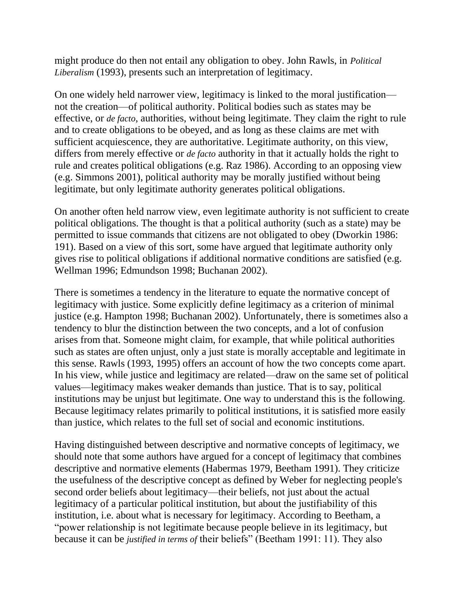might produce do then not entail any obligation to obey. John Rawls, in *Political Liberalism* (1993), presents such an interpretation of legitimacy.

On one widely held narrower view, legitimacy is linked to the moral justification not the creation—of political authority. Political bodies such as states may be effective, or *de facto*, authorities, without being legitimate. They claim the right to rule and to create obligations to be obeyed, and as long as these claims are met with sufficient acquiescence, they are authoritative. Legitimate authority, on this view, differs from merely effective or *de facto* authority in that it actually holds the right to rule and creates political obligations (e.g. Raz 1986). According to an opposing view (e.g. Simmons 2001), political authority may be morally justified without being legitimate, but only legitimate authority generates political obligations.

On another often held narrow view, even legitimate authority is not sufficient to create political obligations. The thought is that a political authority (such as a state) may be permitted to issue commands that citizens are not obligated to obey (Dworkin 1986: 191). Based on a view of this sort, some have argued that legitimate authority only gives rise to political obligations if additional normative conditions are satisfied (e.g. Wellman 1996; Edmundson 1998; Buchanan 2002).

There is sometimes a tendency in the literature to equate the normative concept of legitimacy with justice. Some explicitly define legitimacy as a criterion of minimal justice (e.g. Hampton 1998; Buchanan 2002). Unfortunately, there is sometimes also a tendency to blur the distinction between the two concepts, and a lot of confusion arises from that. Someone might claim, for example, that while political authorities such as states are often unjust, only a just state is morally acceptable and legitimate in this sense. Rawls (1993, 1995) offers an account of how the two concepts come apart. In his view, while justice and legitimacy are related—draw on the same set of political values—legitimacy makes weaker demands than justice. That is to say, political institutions may be unjust but legitimate. One way to understand this is the following. Because legitimacy relates primarily to political institutions, it is satisfied more easily than justice, which relates to the full set of social and economic institutions.

Having distinguished between descriptive and normative concepts of legitimacy, we should note that some authors have argued for a concept of legitimacy that combines descriptive and normative elements (Habermas 1979, Beetham 1991). They criticize the usefulness of the descriptive concept as defined by Weber for neglecting people's second order beliefs about legitimacy—their beliefs, not just about the actual legitimacy of a particular political institution, but about the justifiability of this institution, i.e. about what is necessary for legitimacy. According to Beetham, a "power relationship is not legitimate because people believe in its legitimacy, but because it can be *justified in terms of their beliefs*" (Beetham 1991: 11). They also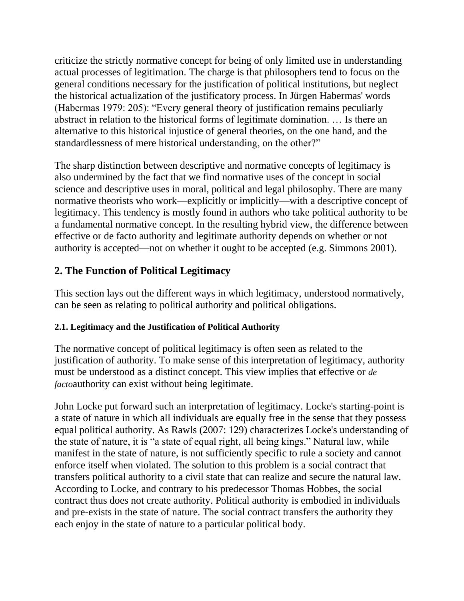criticize the strictly normative concept for being of only limited use in understanding actual processes of legitimation. The charge is that philosophers tend to focus on the general conditions necessary for the justification of political institutions, but neglect the historical actualization of the justificatory process. In Jürgen Habermas' words (Habermas 1979: 205): "Every general theory of justification remains peculiarly abstract in relation to the historical forms of legitimate domination. … Is there an alternative to this historical injustice of general theories, on the one hand, and the standardlessness of mere historical understanding, on the other?"

The sharp distinction between descriptive and normative concepts of legitimacy is also undermined by the fact that we find normative uses of the concept in social science and descriptive uses in moral, political and legal philosophy. There are many normative theorists who work—explicitly or implicitly—with a descriptive concept of legitimacy. This tendency is mostly found in authors who take political authority to be a fundamental normative concept. In the resulting hybrid view, the difference between effective or de facto authority and legitimate authority depends on whether or not authority is accepted—not on whether it ought to be accepted (e.g. Simmons 2001).

# **2. The Function of Political Legitimacy**

This section lays out the different ways in which legitimacy, understood normatively, can be seen as relating to political authority and political obligations.

### **2.1. Legitimacy and the Justification of Political Authority**

The normative concept of political legitimacy is often seen as related to the justification of authority. To make sense of this interpretation of legitimacy, authority must be understood as a distinct concept. This view implies that effective or *de facto*authority can exist without being legitimate.

John Locke put forward such an interpretation of legitimacy. Locke's starting-point is a state of nature in which all individuals are equally free in the sense that they possess equal political authority. As Rawls (2007: 129) characterizes Locke's understanding of the state of nature, it is "a state of equal right, all being kings." Natural law, while manifest in the state of nature, is not sufficiently specific to rule a society and cannot enforce itself when violated. The solution to this problem is a social contract that transfers political authority to a civil state that can realize and secure the natural law. According to Locke, and contrary to his predecessor Thomas Hobbes, the social contract thus does not create authority. Political authority is embodied in individuals and pre-exists in the state of nature. The social contract transfers the authority they each enjoy in the state of nature to a particular political body.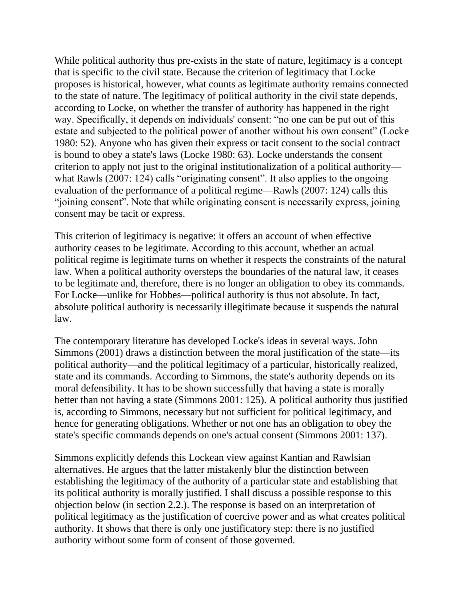While political authority thus pre-exists in the state of nature, legitimacy is a concept that is specific to the civil state. Because the criterion of legitimacy that Locke proposes is historical, however, what counts as legitimate authority remains connected to the state of nature. The legitimacy of political authority in the civil state depends, according to Locke, on whether the transfer of authority has happened in the right way. Specifically, it depends on individuals' consent: "no one can be put out of this estate and subjected to the political power of another without his own consent" (Locke 1980: 52). Anyone who has given their express or tacit consent to the social contract is bound to obey a state's laws (Locke 1980: 63). Locke understands the consent criterion to apply not just to the original institutionalization of a political authority what Rawls (2007: 124) calls "originating consent". It also applies to the ongoing evaluation of the performance of a political regime—Rawls (2007: 124) calls this ―joining consent‖. Note that while originating consent is necessarily express, joining consent may be tacit or express.

This criterion of legitimacy is negative: it offers an account of when effective authority ceases to be legitimate. According to this account, whether an actual political regime is legitimate turns on whether it respects the constraints of the natural law. When a political authority oversteps the boundaries of the natural law, it ceases to be legitimate and, therefore, there is no longer an obligation to obey its commands. For Locke—unlike for Hobbes—political authority is thus not absolute. In fact, absolute political authority is necessarily illegitimate because it suspends the natural law.

The contemporary literature has developed Locke's ideas in several ways. John Simmons (2001) draws a distinction between the moral justification of the state—its political authority—and the political legitimacy of a particular, historically realized, state and its commands. According to Simmons, the state's authority depends on its moral defensibility. It has to be shown successfully that having a state is morally better than not having a state (Simmons 2001: 125). A political authority thus justified is, according to Simmons, necessary but not sufficient for political legitimacy, and hence for generating obligations. Whether or not one has an obligation to obey the state's specific commands depends on one's actual consent (Simmons 2001: 137).

Simmons explicitly defends this Lockean view against Kantian and Rawlsian alternatives. He argues that the latter mistakenly blur the distinction between establishing the legitimacy of the authority of a particular state and establishing that its political authority is morally justified. I shall discuss a possible response to this objection below (in section 2.2.). The response is based on an interpretation of political legitimacy as the justification of coercive power and as what creates political authority. It shows that there is only one justificatory step: there is no justified authority without some form of consent of those governed.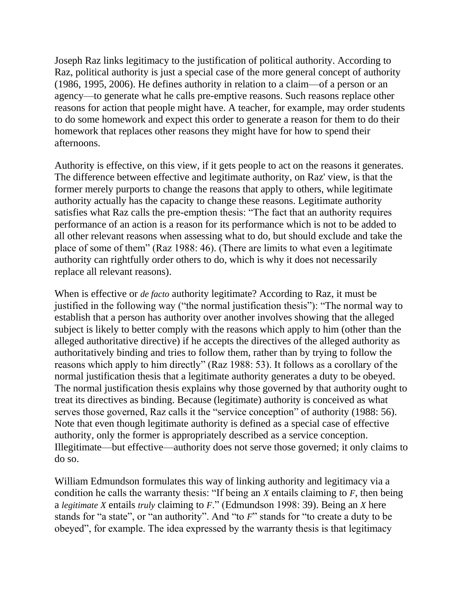Joseph Raz links legitimacy to the justification of political authority. According to Raz, political authority is just a special case of the more general concept of authority (1986, 1995, 2006). He defines authority in relation to a claim—of a person or an agency—to generate what he calls pre-emptive reasons. Such reasons replace other reasons for action that people might have. A teacher, for example, may order students to do some homework and expect this order to generate a reason for them to do their homework that replaces other reasons they might have for how to spend their afternoons.

Authority is effective, on this view, if it gets people to act on the reasons it generates. The difference between effective and legitimate authority, on Raz' view, is that the former merely purports to change the reasons that apply to others, while legitimate authority actually has the capacity to change these reasons. Legitimate authority satisfies what Raz calls the pre-emption thesis: "The fact that an authority requires performance of an action is a reason for its performance which is not to be added to all other relevant reasons when assessing what to do, but should exclude and take the place of some of them" (Raz 1988: 46). (There are limits to what even a legitimate authority can rightfully order others to do, which is why it does not necessarily replace all relevant reasons).

When is effective or *de facto* authority legitimate? According to Raz, it must be justified in the following way ("the normal justification thesis"): "The normal way to establish that a person has authority over another involves showing that the alleged subject is likely to better comply with the reasons which apply to him (other than the alleged authoritative directive) if he accepts the directives of the alleged authority as authoritatively binding and tries to follow them, rather than by trying to follow the reasons which apply to him directly" (Raz 1988: 53). It follows as a corollary of the normal justification thesis that a legitimate authority generates a duty to be obeyed. The normal justification thesis explains why those governed by that authority ought to treat its directives as binding. Because (legitimate) authority is conceived as what serves those governed, Raz calls it the "service conception" of authority (1988: 56). Note that even though legitimate authority is defined as a special case of effective authority, only the former is appropriately described as a service conception. Illegitimate—but effective—authority does not serve those governed; it only claims to do so.

William Edmundson formulates this way of linking authority and legitimacy via a condition he calls the warranty thesis: "If being an *X* entails claiming to *F*, then being a *legitimate X* entails *truly* claiming to *F*.‖ (Edmundson 1998: 39). Being an *X* here stands for "a state", or "an authority". And "to *F*" stands for "to create a duty to be obeyed‖, for example. The idea expressed by the warranty thesis is that legitimacy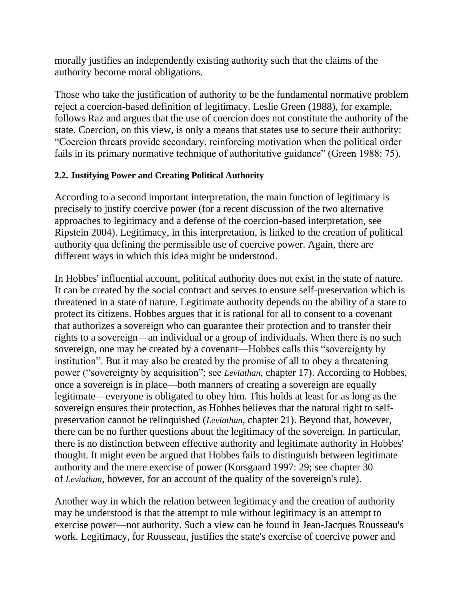morally justifies an independently existing authority such that the claims of the authority become moral obligations.

Those who take the justification of authority to be the fundamental normative problem reject a coercion-based definition of legitimacy. Leslie Green (1988), for example, follows Raz and argues that the use of coercion does not constitute the authority of the state. Coercion, on this view, is only a means that states use to secure their authority: ―Coercion threats provide secondary, reinforcing motivation when the political order fails in its primary normative technique of authoritative guidance" (Green 1988: 75).

#### **2.2. Justifying Power and Creating Political Authority**

According to a second important interpretation, the main function of legitimacy is precisely to justify coercive power (for a recent discussion of the two alternative approaches to legitimacy and a defense of the coercion-based interpretation, see Ripstein 2004). Legitimacy, in this interpretation, is linked to the creation of political authority qua defining the permissible use of coercive power. Again, there are different ways in which this idea might be understood.

In Hobbes' influential account, political authority does not exist in the state of nature. It can be created by the social contract and serves to ensure self-preservation which is threatened in a state of nature. Legitimate authority depends on the ability of a state to protect its citizens. Hobbes argues that it is rational for all to consent to a covenant that authorizes a sovereign who can guarantee their protection and to transfer their rights to a sovereign—an individual or a group of individuals. When there is no such sovereign, one may be created by a covenant—Hobbes calls this "sovereignty by institution". But it may also be created by the promise of all to obey a threatening power ("sovereignty by acquisition"; see *Leviathan*, chapter 17). According to Hobbes, once a sovereign is in place—both manners of creating a sovereign are equally legitimate—everyone is obligated to obey him. This holds at least for as long as the sovereign ensures their protection, as Hobbes believes that the natural right to selfpreservation cannot be relinquished (*Leviathan*, chapter 21). Beyond that, however, there can be no further questions about the legitimacy of the sovereign. In particular, there is no distinction between effective authority and legitimate authority in Hobbes' thought. It might even be argued that Hobbes fails to distinguish between legitimate authority and the mere exercise of power (Korsgaard 1997: 29; see chapter 30 of *Leviathan*, however, for an account of the quality of the sovereign's rule).

Another way in which the relation between legitimacy and the creation of authority may be understood is that the attempt to rule without legitimacy is an attempt to exercise power—not authority. Such a view can be found in Jean-Jacques Rousseau's work. Legitimacy, for Rousseau, justifies the state's exercise of coercive power and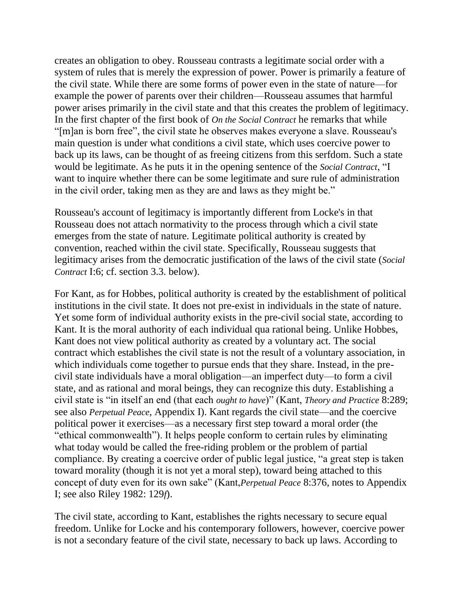creates an obligation to obey. Rousseau contrasts a legitimate social order with a system of rules that is merely the expression of power. Power is primarily a feature of the civil state. While there are some forms of power even in the state of nature—for example the power of parents over their children—Rousseau assumes that harmful power arises primarily in the civil state and that this creates the problem of legitimacy. In the first chapter of the first book of *On the Social Contract* he remarks that while "[m]an is born free", the civil state he observes makes everyone a slave. Rousseau's main question is under what conditions a civil state, which uses coercive power to back up its laws, can be thought of as freeing citizens from this serfdom. Such a state would be legitimate. As he puts it in the opening sentence of the *Social Contract*, "I want to inquire whether there can be some legitimate and sure rule of administration in the civil order, taking men as they are and laws as they might be."

Rousseau's account of legitimacy is importantly different from Locke's in that Rousseau does not attach normativity to the process through which a civil state emerges from the state of nature. Legitimate political authority is created by convention, reached within the civil state. Specifically, Rousseau suggests that legitimacy arises from the democratic justification of the laws of the civil state (*Social Contract* I:6; cf. section 3.3. below).

For Kant, as for Hobbes, political authority is created by the establishment of political institutions in the civil state. It does not pre-exist in individuals in the state of nature. Yet some form of individual authority exists in the pre-civil social state, according to Kant. It is the moral authority of each individual qua rational being. Unlike Hobbes, Kant does not view political authority as created by a voluntary act. The social contract which establishes the civil state is not the result of a voluntary association, in which individuals come together to pursue ends that they share. Instead, in the precivil state individuals have a moral obligation—an imperfect duty—to form a civil state, and as rational and moral beings, they can recognize this duty. Establishing a civil state is "in itself an end (that each *ought to have*)" (Kant, *Theory and Practice* 8:289; see also *Perpetual Peace*, Appendix I). Kant regards the civil state—and the coercive political power it exercises—as a necessary first step toward a moral order (the ―ethical commonwealth‖). It helps people conform to certain rules by eliminating what today would be called the free-riding problem or the problem of partial compliance. By creating a coercive order of public legal justice, "a great step is taken toward morality (though it is not yet a moral step), toward being attached to this concept of duty even for its own sake" (Kant, *Perpetual Peace* 8:376, notes to Appendix I; see also Riley 1982: 129*f*).

The civil state, according to Kant, establishes the rights necessary to secure equal freedom. Unlike for Locke and his contemporary followers, however, coercive power is not a secondary feature of the civil state, necessary to back up laws. According to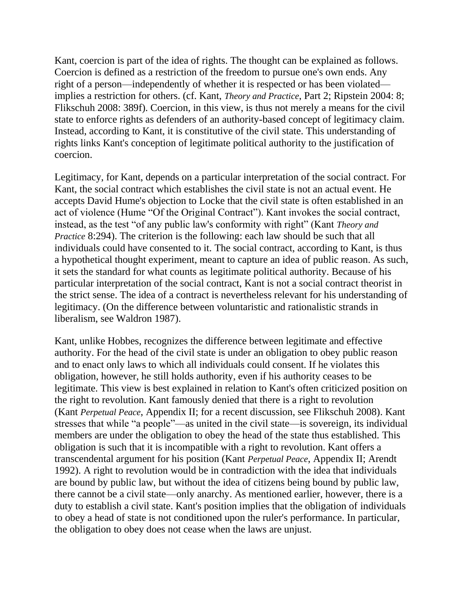Kant, coercion is part of the idea of rights. The thought can be explained as follows. Coercion is defined as a restriction of the freedom to pursue one's own ends. Any right of a person—independently of whether it is respected or has been violated implies a restriction for others. (cf. Kant, *Theory and Practice*, Part 2; Ripstein 2004: 8; Flikschuh 2008: 389f). Coercion, in this view, is thus not merely a means for the civil state to enforce rights as defenders of an authority-based concept of legitimacy claim. Instead, according to Kant, it is constitutive of the civil state. This understanding of rights links Kant's conception of legitimate political authority to the justification of coercion.

Legitimacy, for Kant, depends on a particular interpretation of the social contract. For Kant, the social contract which establishes the civil state is not an actual event. He accepts David Hume's objection to Locke that the civil state is often established in an act of violence (Hume "Of the Original Contract"). Kant invokes the social contract, instead, as the test "of any public law's conformity with right" (Kant *Theory and Practice* 8:294). The criterion is the following: each law should be such that all individuals could have consented to it. The social contract, according to Kant, is thus a hypothetical thought experiment, meant to capture an idea of public reason. As such, it sets the standard for what counts as legitimate political authority. Because of his particular interpretation of the social contract, Kant is not a social contract theorist in the strict sense. The idea of a contract is nevertheless relevant for his understanding of legitimacy. (On the difference between voluntaristic and rationalistic strands in liberalism, see Waldron 1987).

Kant, unlike Hobbes, recognizes the difference between legitimate and effective authority. For the head of the civil state is under an obligation to obey public reason and to enact only laws to which all individuals could consent. If he violates this obligation, however, he still holds authority, even if his authority ceases to be legitimate. This view is best explained in relation to Kant's often criticized position on the right to revolution. Kant famously denied that there is a right to revolution (Kant *Perpetual Peace*, Appendix II; for a recent discussion, see Flikschuh 2008). Kant stresses that while "a people"—as united in the civil state—is sovereign, its individual members are under the obligation to obey the head of the state thus established. This obligation is such that it is incompatible with a right to revolution. Kant offers a transcendental argument for his position (Kant *Perpetual Peace*, Appendix II; Arendt 1992). A right to revolution would be in contradiction with the idea that individuals are bound by public law, but without the idea of citizens being bound by public law, there cannot be a civil state—only anarchy. As mentioned earlier, however, there is a duty to establish a civil state. Kant's position implies that the obligation of individuals to obey a head of state is not conditioned upon the ruler's performance. In particular, the obligation to obey does not cease when the laws are unjust.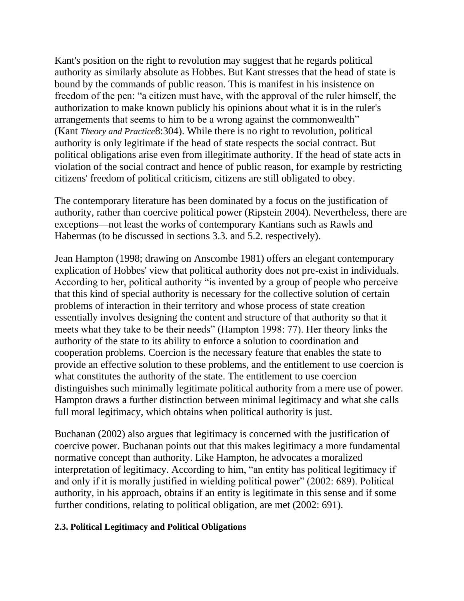Kant's position on the right to revolution may suggest that he regards political authority as similarly absolute as Hobbes. But Kant stresses that the head of state is bound by the commands of public reason. This is manifest in his insistence on freedom of the pen: "a citizen must have, with the approval of the ruler himself, the authorization to make known publicly his opinions about what it is in the ruler's arrangements that seems to him to be a wrong against the commonwealth<sup>"</sup> (Kant *Theory and Practice*8:304). While there is no right to revolution, political authority is only legitimate if the head of state respects the social contract. But political obligations arise even from illegitimate authority. If the head of state acts in violation of the social contract and hence of public reason, for example by restricting citizens' freedom of political criticism, citizens are still obligated to obey.

The contemporary literature has been dominated by a focus on the justification of authority, rather than coercive political power (Ripstein 2004). Nevertheless, there are exceptions—not least the works of contemporary Kantians such as Rawls and Habermas (to be discussed in sections 3.3. and 5.2. respectively).

Jean Hampton (1998; drawing on Anscombe 1981) offers an elegant contemporary explication of Hobbes' view that political authority does not pre-exist in individuals. According to her, political authority "is invented by a group of people who perceive that this kind of special authority is necessary for the collective solution of certain problems of interaction in their territory and whose process of state creation essentially involves designing the content and structure of that authority so that it meets what they take to be their needs" (Hampton 1998: 77). Her theory links the authority of the state to its ability to enforce a solution to coordination and cooperation problems. Coercion is the necessary feature that enables the state to provide an effective solution to these problems, and the entitlement to use coercion is what constitutes the authority of the state. The entitlement to use coercion distinguishes such minimally legitimate political authority from a mere use of power. Hampton draws a further distinction between minimal legitimacy and what she calls full moral legitimacy, which obtains when political authority is just.

Buchanan (2002) also argues that legitimacy is concerned with the justification of coercive power. Buchanan points out that this makes legitimacy a more fundamental normative concept than authority. Like Hampton, he advocates a moralized interpretation of legitimacy. According to him, "an entity has political legitimacy if and only if it is morally justified in wielding political power" (2002: 689). Political authority, in his approach, obtains if an entity is legitimate in this sense and if some further conditions, relating to political obligation, are met (2002: 691).

#### **2.3. Political Legitimacy and Political Obligations**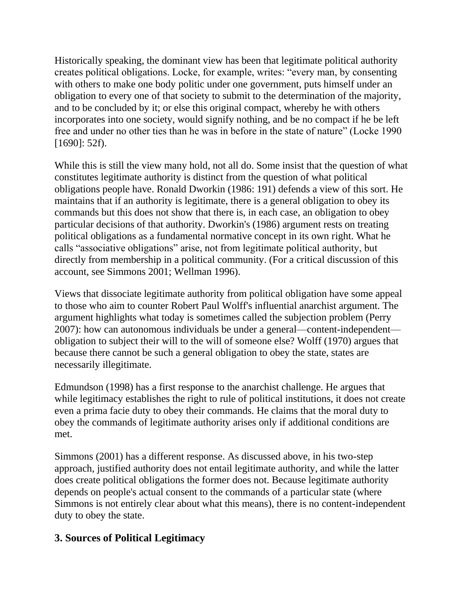Historically speaking, the dominant view has been that legitimate political authority creates political obligations. Locke, for example, writes: "every man, by consenting with others to make one body politic under one government, puts himself under an obligation to every one of that society to submit to the determination of the majority, and to be concluded by it; or else this original compact, whereby he with others incorporates into one society, would signify nothing, and be no compact if he be left free and under no other ties than he was in before in the state of nature" (Locke 1990) [1690]: 52f).

While this is still the view many hold, not all do. Some insist that the question of what constitutes legitimate authority is distinct from the question of what political obligations people have. Ronald Dworkin (1986: 191) defends a view of this sort. He maintains that if an authority is legitimate, there is a general obligation to obey its commands but this does not show that there is, in each case, an obligation to obey particular decisions of that authority. Dworkin's (1986) argument rests on treating political obligations as a fundamental normative concept in its own right. What he calls "associative obligations" arise, not from legitimate political authority, but directly from membership in a political community. (For a critical discussion of this account, see Simmons 2001; Wellman 1996).

Views that dissociate legitimate authority from political obligation have some appeal to those who aim to counter Robert Paul Wolff's influential anarchist argument. The argument highlights what today is sometimes called the subjection problem (Perry 2007): how can autonomous individuals be under a general—content-independent obligation to subject their will to the will of someone else? Wolff (1970) argues that because there cannot be such a general obligation to obey the state, states are necessarily illegitimate.

Edmundson (1998) has a first response to the anarchist challenge. He argues that while legitimacy establishes the right to rule of political institutions, it does not create even a prima facie duty to obey their commands. He claims that the moral duty to obey the commands of legitimate authority arises only if additional conditions are met.

Simmons (2001) has a different response. As discussed above, in his two-step approach, justified authority does not entail legitimate authority, and while the latter does create political obligations the former does not. Because legitimate authority depends on people's actual consent to the commands of a particular state (where Simmons is not entirely clear about what this means), there is no content-independent duty to obey the state.

### **3. Sources of Political Legitimacy**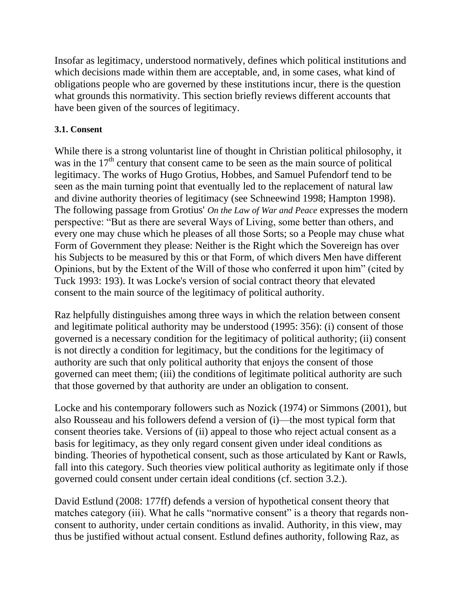Insofar as legitimacy, understood normatively, defines which political institutions and which decisions made within them are acceptable, and, in some cases, what kind of obligations people who are governed by these institutions incur, there is the question what grounds this normativity. This section briefly reviews different accounts that have been given of the sources of legitimacy.

#### **3.1. Consent**

While there is a strong voluntarist line of thought in Christian political philosophy, it was in the  $17<sup>th</sup>$  century that consent came to be seen as the main source of political legitimacy. The works of Hugo Grotius, Hobbes, and Samuel Pufendorf tend to be seen as the main turning point that eventually led to the replacement of natural law and divine authority theories of legitimacy (see Schneewind 1998; Hampton 1998). The following passage from Grotius' *On the Law of War and Peace* expresses the modern perspective: "But as there are several Ways of Living, some better than others, and every one may chuse which he pleases of all those Sorts; so a People may chuse what Form of Government they please: Neither is the Right which the Sovereign has over his Subjects to be measured by this or that Form, of which divers Men have different Opinions, but by the Extent of the Will of those who conferred it upon him" (cited by Tuck 1993: 193). It was Locke's version of social contract theory that elevated consent to the main source of the legitimacy of political authority.

Raz helpfully distinguishes among three ways in which the relation between consent and legitimate political authority may be understood (1995: 356): (i) consent of those governed is a necessary condition for the legitimacy of political authority; (ii) consent is not directly a condition for legitimacy, but the conditions for the legitimacy of authority are such that only political authority that enjoys the consent of those governed can meet them; (iii) the conditions of legitimate political authority are such that those governed by that authority are under an obligation to consent.

Locke and his contemporary followers such as Nozick (1974) or Simmons (2001), but also Rousseau and his followers defend a version of (i)—the most typical form that consent theories take. Versions of (ii) appeal to those who reject actual consent as a basis for legitimacy, as they only regard consent given under ideal conditions as binding. Theories of hypothetical consent, such as those articulated by Kant or Rawls, fall into this category. Such theories view political authority as legitimate only if those governed could consent under certain ideal conditions (cf. section 3.2.).

David Estlund (2008: 177ff) defends a version of hypothetical consent theory that matches category (iii). What he calls "normative consent" is a theory that regards nonconsent to authority, under certain conditions as invalid. Authority, in this view, may thus be justified without actual consent. Estlund defines authority, following Raz, as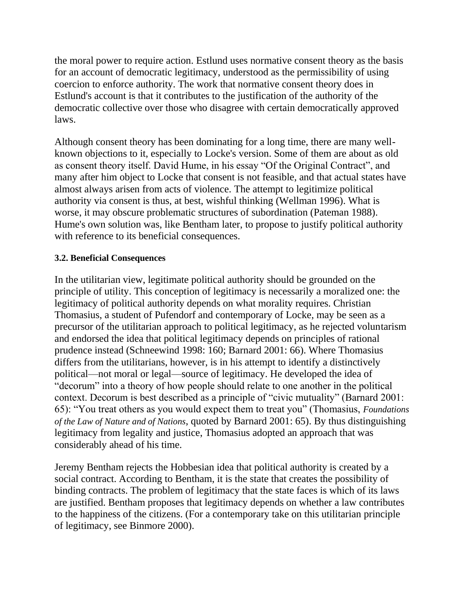the moral power to require action. Estlund uses normative consent theory as the basis for an account of democratic legitimacy, understood as the permissibility of using coercion to enforce authority. The work that normative consent theory does in Estlund's account is that it contributes to the justification of the authority of the democratic collective over those who disagree with certain democratically approved laws.

Although consent theory has been dominating for a long time, there are many wellknown objections to it, especially to Locke's version. Some of them are about as old as consent theory itself. David Hume, in his essay "Of the Original Contract", and many after him object to Locke that consent is not feasible, and that actual states have almost always arisen from acts of violence. The attempt to legitimize political authority via consent is thus, at best, wishful thinking (Wellman 1996). What is worse, it may obscure problematic structures of subordination (Pateman 1988). Hume's own solution was, like Bentham later, to propose to justify political authority with reference to its beneficial consequences.

#### **3.2. Beneficial Consequences**

In the utilitarian view, legitimate political authority should be grounded on the principle of utility. This conception of legitimacy is necessarily a moralized one: the legitimacy of political authority depends on what morality requires. Christian Thomasius, a student of Pufendorf and contemporary of Locke, may be seen as a precursor of the utilitarian approach to political legitimacy, as he rejected voluntarism and endorsed the idea that political legitimacy depends on principles of rational prudence instead (Schneewind 1998: 160; Barnard 2001: 66). Where Thomasius differs from the utilitarians, however, is in his attempt to identify a distinctively political—not moral or legal—source of legitimacy. He developed the idea of "decorum" into a theory of how people should relate to one another in the political context. Decorum is best described as a principle of "civic mutuality" (Barnard 2001: 65): ―You treat others as you would expect them to treat you‖ (Thomasius, *Foundations of the Law of Nature and of Nations*, quoted by Barnard 2001: 65). By thus distinguishing legitimacy from legality and justice, Thomasius adopted an approach that was considerably ahead of his time.

Jeremy Bentham rejects the Hobbesian idea that political authority is created by a social contract. According to Bentham, it is the state that creates the possibility of binding contracts. The problem of legitimacy that the state faces is which of its laws are justified. Bentham proposes that legitimacy depends on whether a law contributes to the happiness of the citizens. (For a contemporary take on this utilitarian principle of legitimacy, see Binmore 2000).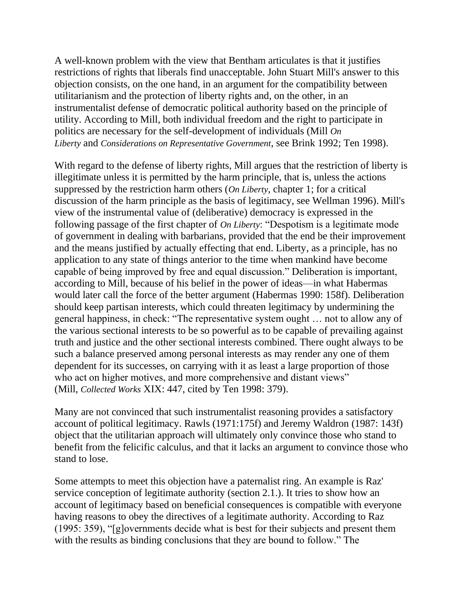A well-known problem with the view that Bentham articulates is that it justifies restrictions of rights that liberals find unacceptable. John Stuart Mill's answer to this objection consists, on the one hand, in an argument for the compatibility between utilitarianism and the protection of liberty rights and, on the other, in an instrumentalist defense of democratic political authority based on the principle of utility. According to Mill, both individual freedom and the right to participate in politics are necessary for the self-development of individuals (Mill *On Liberty* and *Considerations on Representative Government*, see Brink 1992; Ten 1998).

With regard to the defense of liberty rights, Mill argues that the restriction of liberty is illegitimate unless it is permitted by the harm principle, that is, unless the actions suppressed by the restriction harm others (*On Liberty*, chapter 1; for a critical discussion of the harm principle as the basis of legitimacy, see Wellman 1996). Mill's view of the instrumental value of (deliberative) democracy is expressed in the following passage of the first chapter of *On Liberty*: "Despotism is a legitimate mode of government in dealing with barbarians, provided that the end be their improvement and the means justified by actually effecting that end. Liberty, as a principle, has no application to any state of things anterior to the time when mankind have become capable of being improved by free and equal discussion." Deliberation is important, according to Mill, because of his belief in the power of ideas—in what Habermas would later call the force of the better argument (Habermas 1990: 158f). Deliberation should keep partisan interests, which could threaten legitimacy by undermining the general happiness, in check: "The representative system ought ... not to allow any of the various sectional interests to be so powerful as to be capable of prevailing against truth and justice and the other sectional interests combined. There ought always to be such a balance preserved among personal interests as may render any one of them dependent for its successes, on carrying with it as least a large proportion of those who act on higher motives, and more comprehensive and distant views" (Mill, *Collected Works* XIX: 447, cited by Ten 1998: 379).

Many are not convinced that such instrumentalist reasoning provides a satisfactory account of political legitimacy. Rawls (1971:175f) and Jeremy Waldron (1987: 143f) object that the utilitarian approach will ultimately only convince those who stand to benefit from the felicific calculus, and that it lacks an argument to convince those who stand to lose.

Some attempts to meet this objection have a paternalist ring. An example is Raz' service conception of legitimate authority (section 2.1.). It tries to show how an account of legitimacy based on beneficial consequences is compatible with everyone having reasons to obey the directives of a legitimate authority. According to Raz  $(1995: 359)$ , "[g]overnments decide what is best for their subjects and present them with the results as binding conclusions that they are bound to follow." The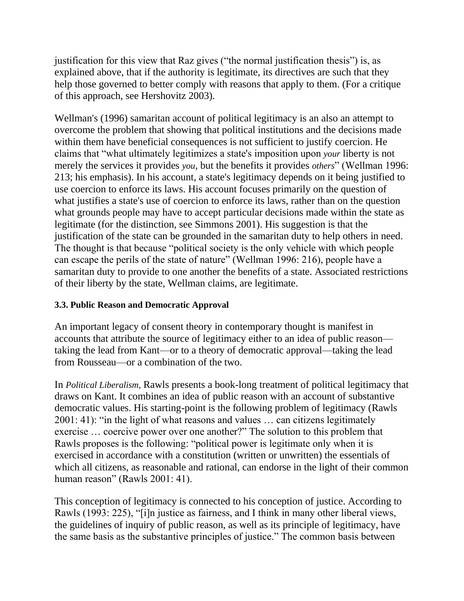justification for this view that Raz gives ("the normal justification thesis") is, as explained above, that if the authority is legitimate, its directives are such that they help those governed to better comply with reasons that apply to them. (For a critique of this approach, see Hershovitz 2003).

Wellman's (1996) samaritan account of political legitimacy is an also an attempt to overcome the problem that showing that political institutions and the decisions made within them have beneficial consequences is not sufficient to justify coercion. He claims that ―what ultimately legitimizes a state's imposition upon *your* liberty is not merely the services it provides *you*, but the benefits it provides *others*" (Wellman 1996: 213; his emphasis). In his account, a state's legitimacy depends on it being justified to use coercion to enforce its laws. His account focuses primarily on the question of what justifies a state's use of coercion to enforce its laws, rather than on the question what grounds people may have to accept particular decisions made within the state as legitimate (for the distinction, see Simmons 2001). His suggestion is that the justification of the state can be grounded in the samaritan duty to help others in need. The thought is that because "political society is the only vehicle with which people can escape the perils of the state of nature" (Wellman 1996: 216), people have a samaritan duty to provide to one another the benefits of a state. Associated restrictions of their liberty by the state, Wellman claims, are legitimate.

#### **3.3. Public Reason and Democratic Approval**

An important legacy of consent theory in contemporary thought is manifest in accounts that attribute the source of legitimacy either to an idea of public reason taking the lead from Kant—or to a theory of democratic approval—taking the lead from Rousseau—or a combination of the two.

In *Political Liberalism,* Rawls presents a book-long treatment of political legitimacy that draws on Kant. It combines an idea of public reason with an account of substantive democratic values. His starting-point is the following problem of legitimacy (Rawls  $2001: 41$ : "in the light of what reasons and values  $\ldots$  can citizens legitimately exercise ... coercive power over one another?" The solution to this problem that Rawls proposes is the following: "political power is legitimate only when it is exercised in accordance with a constitution (written or unwritten) the essentials of which all citizens, as reasonable and rational, can endorse in the light of their common human reason" (Rawls 2001: 41).

This conception of legitimacy is connected to his conception of justice. According to Rawls (1993: 225), "[i]n justice as fairness, and I think in many other liberal views, the guidelines of inquiry of public reason, as well as its principle of legitimacy, have the same basis as the substantive principles of justice." The common basis between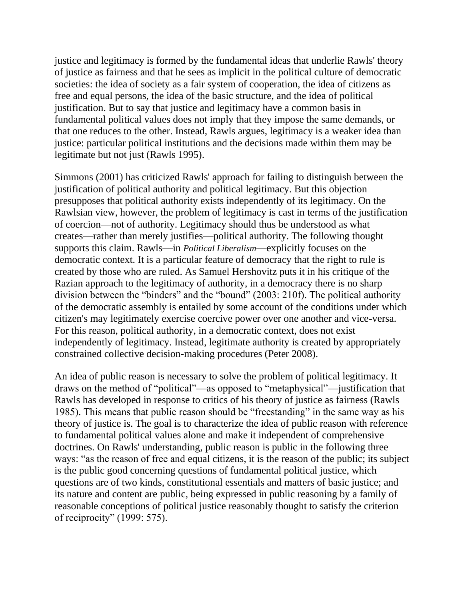justice and legitimacy is formed by the fundamental ideas that underlie Rawls' theory of justice as fairness and that he sees as implicit in the political culture of democratic societies: the idea of society as a fair system of cooperation, the idea of citizens as free and equal persons, the idea of the basic structure, and the idea of political justification. But to say that justice and legitimacy have a common basis in fundamental political values does not imply that they impose the same demands, or that one reduces to the other. Instead, Rawls argues, legitimacy is a weaker idea than justice: particular political institutions and the decisions made within them may be legitimate but not just (Rawls 1995).

Simmons (2001) has criticized Rawls' approach for failing to distinguish between the justification of political authority and political legitimacy. But this objection presupposes that political authority exists independently of its legitimacy. On the Rawlsian view, however, the problem of legitimacy is cast in terms of the justification of coercion—not of authority. Legitimacy should thus be understood as what creates—rather than merely justifies—political authority. The following thought supports this claim. Rawls—in *Political Liberalism*—explicitly focuses on the democratic context. It is a particular feature of democracy that the right to rule is created by those who are ruled. As Samuel Hershovitz puts it in his critique of the Razian approach to the legitimacy of authority, in a democracy there is no sharp division between the "binders" and the "bound" (2003: 210f). The political authority of the democratic assembly is entailed by some account of the conditions under which citizen's may legitimately exercise coercive power over one another and vice-versa. For this reason, political authority, in a democratic context, does not exist independently of legitimacy. Instead, legitimate authority is created by appropriately constrained collective decision-making procedures (Peter 2008).

An idea of public reason is necessary to solve the problem of political legitimacy. It draws on the method of "political"—as opposed to "metaphysical"—justification that Rawls has developed in response to critics of his theory of justice as fairness (Rawls 1985). This means that public reason should be "freestanding" in the same way as his theory of justice is. The goal is to characterize the idea of public reason with reference to fundamental political values alone and make it independent of comprehensive doctrines. On Rawls' understanding, public reason is public in the following three ways: "as the reason of free and equal citizens, it is the reason of the public; its subject is the public good concerning questions of fundamental political justice, which questions are of two kinds, constitutional essentials and matters of basic justice; and its nature and content are public, being expressed in public reasoning by a family of reasonable conceptions of political justice reasonably thought to satisfy the criterion of reciprocity" (1999: 575).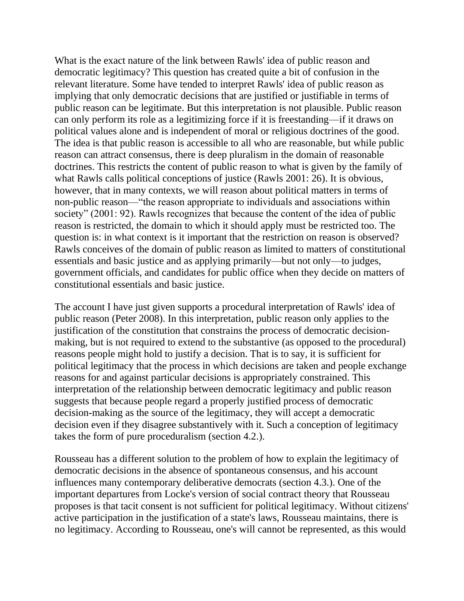What is the exact nature of the link between Rawls' idea of public reason and democratic legitimacy? This question has created quite a bit of confusion in the relevant literature. Some have tended to interpret Rawls' idea of public reason as implying that only democratic decisions that are justified or justifiable in terms of public reason can be legitimate. But this interpretation is not plausible. Public reason can only perform its role as a legitimizing force if it is freestanding—if it draws on political values alone and is independent of moral or religious doctrines of the good. The idea is that public reason is accessible to all who are reasonable, but while public reason can attract consensus, there is deep pluralism in the domain of reasonable doctrines. This restricts the content of public reason to what is given by the family of what Rawls calls political conceptions of justice (Rawls 2001: 26). It is obvious, however, that in many contexts, we will reason about political matters in terms of non-public reason—"the reason appropriate to individuals and associations within society" (2001: 92). Rawls recognizes that because the content of the idea of public reason is restricted, the domain to which it should apply must be restricted too. The question is: in what context is it important that the restriction on reason is observed? Rawls conceives of the domain of public reason as limited to matters of constitutional essentials and basic justice and as applying primarily—but not only—to judges, government officials, and candidates for public office when they decide on matters of constitutional essentials and basic justice.

The account I have just given supports a procedural interpretation of Rawls' idea of public reason (Peter 2008). In this interpretation, public reason only applies to the justification of the constitution that constrains the process of democratic decisionmaking, but is not required to extend to the substantive (as opposed to the procedural) reasons people might hold to justify a decision. That is to say, it is sufficient for political legitimacy that the process in which decisions are taken and people exchange reasons for and against particular decisions is appropriately constrained. This interpretation of the relationship between democratic legitimacy and public reason suggests that because people regard a properly justified process of democratic decision-making as the source of the legitimacy, they will accept a democratic decision even if they disagree substantively with it. Such a conception of legitimacy takes the form of pure proceduralism (section 4.2.).

Rousseau has a different solution to the problem of how to explain the legitimacy of democratic decisions in the absence of spontaneous consensus, and his account influences many contemporary deliberative democrats (section 4.3.). One of the important departures from Locke's version of social contract theory that Rousseau proposes is that tacit consent is not sufficient for political legitimacy. Without citizens' active participation in the justification of a state's laws, Rousseau maintains, there is no legitimacy. According to Rousseau, one's will cannot be represented, as this would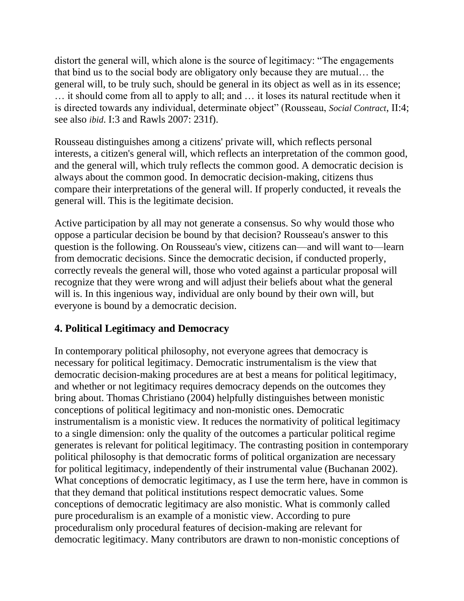distort the general will, which alone is the source of legitimacy: "The engagements that bind us to the social body are obligatory only because they are mutual… the general will, to be truly such, should be general in its object as well as in its essence; … it should come from all to apply to all; and … it loses its natural rectitude when it is directed towards any individual, determinate object" (Rousseau, *Social Contract*, II:4; see also *ibid*. I:3 and Rawls 2007: 231f).

Rousseau distinguishes among a citizens' private will, which reflects personal interests, a citizen's general will, which reflects an interpretation of the common good, and the general will, which truly reflects the common good. A democratic decision is always about the common good. In democratic decision-making, citizens thus compare their interpretations of the general will. If properly conducted, it reveals the general will. This is the legitimate decision.

Active participation by all may not generate a consensus. So why would those who oppose a particular decision be bound by that decision? Rousseau's answer to this question is the following. On Rousseau's view, citizens can—and will want to—learn from democratic decisions. Since the democratic decision, if conducted properly, correctly reveals the general will, those who voted against a particular proposal will recognize that they were wrong and will adjust their beliefs about what the general will is. In this ingenious way, individual are only bound by their own will, but everyone is bound by a democratic decision.

### **4. Political Legitimacy and Democracy**

In contemporary political philosophy, not everyone agrees that democracy is necessary for political legitimacy. Democratic instrumentalism is the view that democratic decision-making procedures are at best a means for political legitimacy, and whether or not legitimacy requires democracy depends on the outcomes they bring about. Thomas Christiano (2004) helpfully distinguishes between monistic conceptions of political legitimacy and non-monistic ones. Democratic instrumentalism is a monistic view. It reduces the normativity of political legitimacy to a single dimension: only the quality of the outcomes a particular political regime generates is relevant for political legitimacy. The contrasting position in contemporary political philosophy is that democratic forms of political organization are necessary for political legitimacy, independently of their instrumental value (Buchanan 2002). What conceptions of democratic legitimacy, as I use the term here, have in common is that they demand that political institutions respect democratic values. Some conceptions of democratic legitimacy are also monistic. What is commonly called pure proceduralism is an example of a monistic view. According to pure proceduralism only procedural features of decision-making are relevant for democratic legitimacy. Many contributors are drawn to non-monistic conceptions of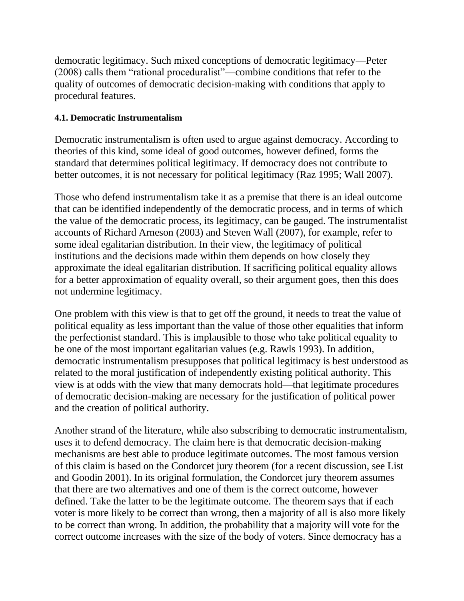democratic legitimacy. Such mixed conceptions of democratic legitimacy—Peter (2008) calls them "rational proceduralist"—combine conditions that refer to the quality of outcomes of democratic decision-making with conditions that apply to procedural features.

#### **4.1. Democratic Instrumentalism**

Democratic instrumentalism is often used to argue against democracy. According to theories of this kind, some ideal of good outcomes, however defined, forms the standard that determines political legitimacy. If democracy does not contribute to better outcomes, it is not necessary for political legitimacy (Raz 1995; Wall 2007).

Those who defend instrumentalism take it as a premise that there is an ideal outcome that can be identified independently of the democratic process, and in terms of which the value of the democratic process, its legitimacy, can be gauged. The instrumentalist accounts of Richard Arneson (2003) and Steven Wall (2007), for example, refer to some ideal egalitarian distribution. In their view, the legitimacy of political institutions and the decisions made within them depends on how closely they approximate the ideal egalitarian distribution. If sacrificing political equality allows for a better approximation of equality overall, so their argument goes, then this does not undermine legitimacy.

One problem with this view is that to get off the ground, it needs to treat the value of political equality as less important than the value of those other equalities that inform the perfectionist standard. This is implausible to those who take political equality to be one of the most important egalitarian values (e.g. Rawls 1993). In addition, democratic instrumentalism presupposes that political legitimacy is best understood as related to the moral justification of independently existing political authority. This view is at odds with the view that many democrats hold—that legitimate procedures of democratic decision-making are necessary for the justification of political power and the creation of political authority.

Another strand of the literature, while also subscribing to democratic instrumentalism, uses it to defend democracy. The claim here is that democratic decision-making mechanisms are best able to produce legitimate outcomes. The most famous version of this claim is based on the Condorcet jury theorem (for a recent discussion, see List and Goodin 2001). In its original formulation, the Condorcet jury theorem assumes that there are two alternatives and one of them is the correct outcome, however defined. Take the latter to be the legitimate outcome. The theorem says that if each voter is more likely to be correct than wrong, then a majority of all is also more likely to be correct than wrong. In addition, the probability that a majority will vote for the correct outcome increases with the size of the body of voters. Since democracy has a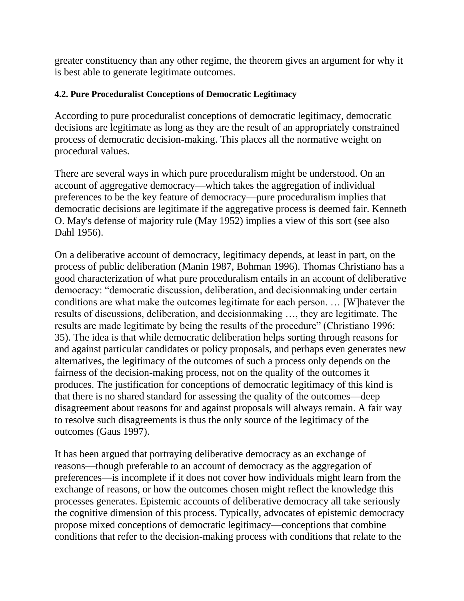greater constituency than any other regime, the theorem gives an argument for why it is best able to generate legitimate outcomes.

#### **4.2. Pure Proceduralist Conceptions of Democratic Legitimacy**

According to pure proceduralist conceptions of democratic legitimacy, democratic decisions are legitimate as long as they are the result of an appropriately constrained process of democratic decision-making. This places all the normative weight on procedural values.

There are several ways in which pure proceduralism might be understood. On an account of aggregative democracy—which takes the aggregation of individual preferences to be the key feature of democracy—pure proceduralism implies that democratic decisions are legitimate if the aggregative process is deemed fair. Kenneth O. May's defense of majority rule (May 1952) implies a view of this sort (see also Dahl 1956).

On a deliberative account of democracy, legitimacy depends, at least in part, on the process of public deliberation (Manin 1987, Bohman 1996). Thomas Christiano has a good characterization of what pure proceduralism entails in an account of deliberative democracy: "democratic discussion, deliberation, and decision making under certain conditions are what make the outcomes legitimate for each person. … [W]hatever the results of discussions, deliberation, and decisionmaking …, they are legitimate. The results are made legitimate by being the results of the procedure" (Christiano 1996: 35). The idea is that while democratic deliberation helps sorting through reasons for and against particular candidates or policy proposals, and perhaps even generates new alternatives, the legitimacy of the outcomes of such a process only depends on the fairness of the decision-making process, not on the quality of the outcomes it produces. The justification for conceptions of democratic legitimacy of this kind is that there is no shared standard for assessing the quality of the outcomes—deep disagreement about reasons for and against proposals will always remain. A fair way to resolve such disagreements is thus the only source of the legitimacy of the outcomes (Gaus 1997).

It has been argued that portraying deliberative democracy as an exchange of reasons—though preferable to an account of democracy as the aggregation of preferences—is incomplete if it does not cover how individuals might learn from the exchange of reasons, or how the outcomes chosen might reflect the knowledge this processes generates. Epistemic accounts of deliberative democracy all take seriously the cognitive dimension of this process. Typically, advocates of epistemic democracy propose mixed conceptions of democratic legitimacy—conceptions that combine conditions that refer to the decision-making process with conditions that relate to the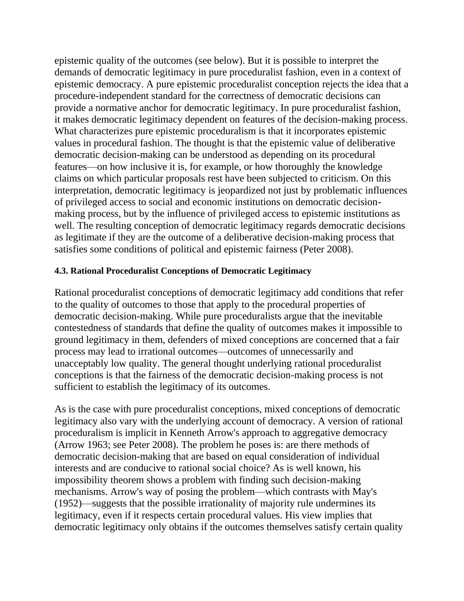epistemic quality of the outcomes (see below). But it is possible to interpret the demands of democratic legitimacy in pure proceduralist fashion, even in a context of epistemic democracy. A pure epistemic proceduralist conception rejects the idea that a procedure-independent standard for the correctness of democratic decisions can provide a normative anchor for democratic legitimacy. In pure proceduralist fashion, it makes democratic legitimacy dependent on features of the decision-making process. What characterizes pure epistemic proceduralism is that it incorporates epistemic values in procedural fashion. The thought is that the epistemic value of deliberative democratic decision-making can be understood as depending on its procedural features—on how inclusive it is, for example, or how thoroughly the knowledge claims on which particular proposals rest have been subjected to criticism. On this interpretation, democratic legitimacy is jeopardized not just by problematic influences of privileged access to social and economic institutions on democratic decisionmaking process, but by the influence of privileged access to epistemic institutions as well. The resulting conception of democratic legitimacy regards democratic decisions as legitimate if they are the outcome of a deliberative decision-making process that satisfies some conditions of political and epistemic fairness (Peter 2008).

#### **4.3. Rational Proceduralist Conceptions of Democratic Legitimacy**

Rational proceduralist conceptions of democratic legitimacy add conditions that refer to the quality of outcomes to those that apply to the procedural properties of democratic decision-making. While pure proceduralists argue that the inevitable contestedness of standards that define the quality of outcomes makes it impossible to ground legitimacy in them, defenders of mixed conceptions are concerned that a fair process may lead to irrational outcomes—outcomes of unnecessarily and unacceptably low quality. The general thought underlying rational proceduralist conceptions is that the fairness of the democratic decision-making process is not sufficient to establish the legitimacy of its outcomes.

As is the case with pure proceduralist conceptions, mixed conceptions of democratic legitimacy also vary with the underlying account of democracy. A version of rational proceduralism is implicit in Kenneth Arrow's approach to aggregative democracy (Arrow 1963; see Peter 2008). The problem he poses is: are there methods of democratic decision-making that are based on equal consideration of individual interests and are conducive to rational social choice? As is well known, his impossibility theorem shows a problem with finding such decision-making mechanisms. Arrow's way of posing the problem—which contrasts with May's (1952)—suggests that the possible irrationality of majority rule undermines its legitimacy, even if it respects certain procedural values. His view implies that democratic legitimacy only obtains if the outcomes themselves satisfy certain quality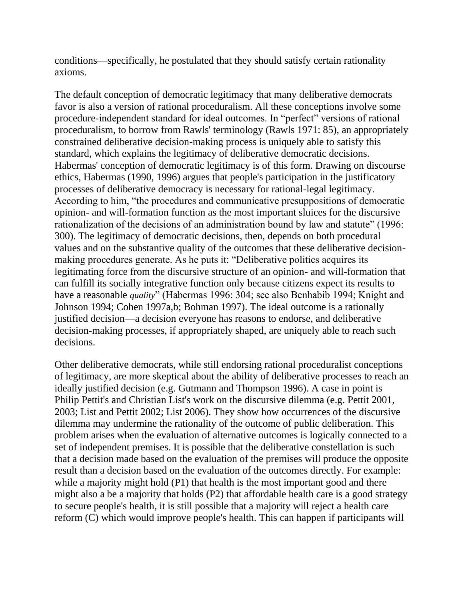conditions—specifically, he postulated that they should satisfy certain rationality axioms.

The default conception of democratic legitimacy that many deliberative democrats favor is also a version of rational proceduralism. All these conceptions involve some procedure-independent standard for ideal outcomes. In "perfect" versions of rational proceduralism, to borrow from Rawls' terminology (Rawls 1971: 85), an appropriately constrained deliberative decision-making process is uniquely able to satisfy this standard, which explains the legitimacy of deliberative democratic decisions. Habermas' conception of democratic legitimacy is of this form. Drawing on discourse ethics, Habermas (1990, 1996) argues that people's participation in the justificatory processes of deliberative democracy is necessary for rational-legal legitimacy. According to him, "the procedures and communicative presuppositions of democratic opinion- and will-formation function as the most important sluices for the discursive rationalization of the decisions of an administration bound by law and statute" (1996: 300). The legitimacy of democratic decisions, then, depends on both procedural values and on the substantive quality of the outcomes that these deliberative decisionmaking procedures generate. As he puts it: "Deliberative politics acquires its legitimating force from the discursive structure of an opinion- and will-formation that can fulfill its socially integrative function only because citizens expect its results to have a reasonable *quality*" (Habermas 1996: 304; see also Benhabib 1994; Knight and Johnson 1994; Cohen 1997a,b; Bohman 1997). The ideal outcome is a rationally justified decision—a decision everyone has reasons to endorse, and deliberative decision-making processes, if appropriately shaped, are uniquely able to reach such decisions.

Other deliberative democrats, while still endorsing rational proceduralist conceptions of legitimacy, are more skeptical about the ability of deliberative processes to reach an ideally justified decision (e.g. Gutmann and Thompson 1996). A case in point is Philip Pettit's and Christian List's work on the discursive dilemma (e.g. Pettit 2001, 2003; List and Pettit 2002; List 2006). They show how occurrences of the discursive dilemma may undermine the rationality of the outcome of public deliberation. This problem arises when the evaluation of alternative outcomes is logically connected to a set of independent premises. It is possible that the deliberative constellation is such that a decision made based on the evaluation of the premises will produce the opposite result than a decision based on the evaluation of the outcomes directly. For example: while a majority might hold (P1) that health is the most important good and there might also a be a majority that holds (P2) that affordable health care is a good strategy to secure people's health, it is still possible that a majority will reject a health care reform (C) which would improve people's health. This can happen if participants will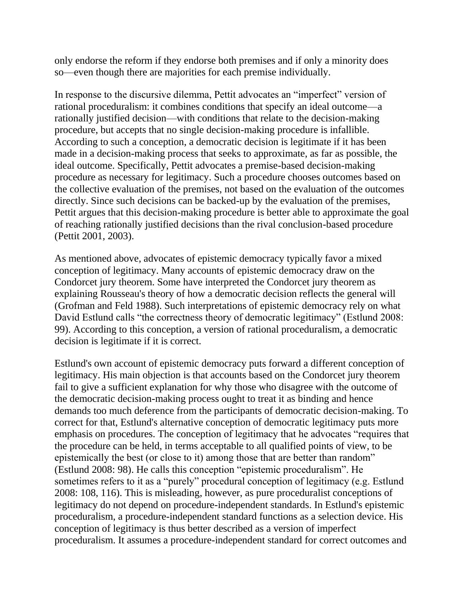only endorse the reform if they endorse both premises and if only a minority does so—even though there are majorities for each premise individually.

In response to the discursive dilemma, Pettit advocates an "imperfect" version of rational proceduralism: it combines conditions that specify an ideal outcome—a rationally justified decision—with conditions that relate to the decision-making procedure, but accepts that no single decision-making procedure is infallible. According to such a conception, a democratic decision is legitimate if it has been made in a decision-making process that seeks to approximate, as far as possible, the ideal outcome. Specifically, Pettit advocates a premise-based decision-making procedure as necessary for legitimacy. Such a procedure chooses outcomes based on the collective evaluation of the premises, not based on the evaluation of the outcomes directly. Since such decisions can be backed-up by the evaluation of the premises, Pettit argues that this decision-making procedure is better able to approximate the goal of reaching rationally justified decisions than the rival conclusion-based procedure (Pettit 2001, 2003).

As mentioned above, advocates of epistemic democracy typically favor a mixed conception of legitimacy. Many accounts of epistemic democracy draw on the Condorcet jury theorem. Some have interpreted the Condorcet jury theorem as explaining Rousseau's theory of how a democratic decision reflects the general will (Grofman and Feld 1988). Such interpretations of epistemic democracy rely on what David Estlund calls "the correctness theory of democratic legitimacy" (Estlund 2008: 99). According to this conception, a version of rational proceduralism, a democratic decision is legitimate if it is correct.

Estlund's own account of epistemic democracy puts forward a different conception of legitimacy. His main objection is that accounts based on the Condorcet jury theorem fail to give a sufficient explanation for why those who disagree with the outcome of the democratic decision-making process ought to treat it as binding and hence demands too much deference from the participants of democratic decision-making. To correct for that, Estlund's alternative conception of democratic legitimacy puts more emphasis on procedures. The conception of legitimacy that he advocates "requires that the procedure can be held, in terms acceptable to all qualified points of view, to be epistemically the best (or close to it) among those that are better than random" (Estlund 2008: 98). He calls this conception "epistemic proceduralism". He sometimes refers to it as a "purely" procedural conception of legitimacy (e.g. Estlund 2008: 108, 116). This is misleading, however, as pure proceduralist conceptions of legitimacy do not depend on procedure-independent standards. In Estlund's epistemic proceduralism, a procedure-independent standard functions as a selection device. His conception of legitimacy is thus better described as a version of imperfect proceduralism. It assumes a procedure-independent standard for correct outcomes and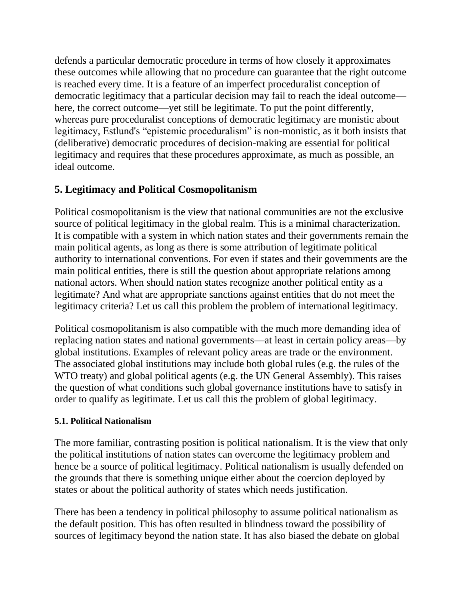defends a particular democratic procedure in terms of how closely it approximates these outcomes while allowing that no procedure can guarantee that the right outcome is reached every time. It is a feature of an imperfect proceduralist conception of democratic legitimacy that a particular decision may fail to reach the ideal outcome here, the correct outcome—yet still be legitimate. To put the point differently, whereas pure proceduralist conceptions of democratic legitimacy are monistic about legitimacy, Estlund's "epistemic proceduralism" is non-monistic, as it both insists that (deliberative) democratic procedures of decision-making are essential for political legitimacy and requires that these procedures approximate, as much as possible, an ideal outcome.

# **5. Legitimacy and Political Cosmopolitanism**

Political cosmopolitanism is the view that national communities are not the exclusive source of political legitimacy in the global realm. This is a minimal characterization. It is compatible with a system in which nation states and their governments remain the main political agents, as long as there is some attribution of legitimate political authority to international conventions. For even if states and their governments are the main political entities, there is still the question about appropriate relations among national actors. When should nation states recognize another political entity as a legitimate? And what are appropriate sanctions against entities that do not meet the legitimacy criteria? Let us call this problem the problem of international legitimacy.

Political cosmopolitanism is also compatible with the much more demanding idea of replacing nation states and national governments—at least in certain policy areas—by global institutions. Examples of relevant policy areas are trade or the environment. The associated global institutions may include both global rules (e.g. the rules of the WTO treaty) and global political agents (e.g. the UN General Assembly). This raises the question of what conditions such global governance institutions have to satisfy in order to qualify as legitimate. Let us call this the problem of global legitimacy.

### **5.1. Political Nationalism**

The more familiar, contrasting position is political nationalism. It is the view that only the political institutions of nation states can overcome the legitimacy problem and hence be a source of political legitimacy. Political nationalism is usually defended on the grounds that there is something unique either about the coercion deployed by states or about the political authority of states which needs justification.

There has been a tendency in political philosophy to assume political nationalism as the default position. This has often resulted in blindness toward the possibility of sources of legitimacy beyond the nation state. It has also biased the debate on global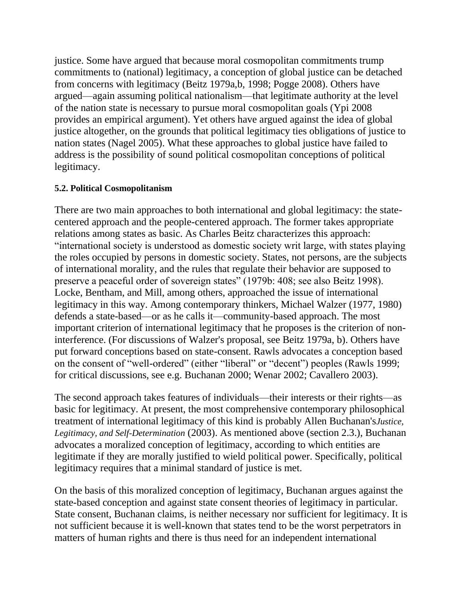justice. Some have argued that because moral cosmopolitan commitments trump commitments to (national) legitimacy, a conception of global justice can be detached from concerns with legitimacy (Beitz 1979a,b, 1998; Pogge 2008). Others have argued—again assuming political nationalism—that legitimate authority at the level of the nation state is necessary to pursue moral cosmopolitan goals (Ypi 2008 provides an empirical argument). Yet others have argued against the idea of global justice altogether, on the grounds that political legitimacy ties obligations of justice to nation states (Nagel 2005). What these approaches to global justice have failed to address is the possibility of sound political cosmopolitan conceptions of political legitimacy.

#### **5.2. Political Cosmopolitanism**

There are two main approaches to both international and global legitimacy: the statecentered approach and the people-centered approach. The former takes appropriate relations among states as basic. As Charles Beitz characterizes this approach: "international society is understood as domestic society writ large, with states playing the roles occupied by persons in domestic society. States, not persons, are the subjects of international morality, and the rules that regulate their behavior are supposed to preserve a peaceful order of sovereign states" (1979b: 408; see also Beitz 1998). Locke, Bentham, and Mill, among others, approached the issue of international legitimacy in this way. Among contemporary thinkers, Michael Walzer (1977, 1980) defends a state-based—or as he calls it—community-based approach. The most important criterion of international legitimacy that he proposes is the criterion of noninterference. (For discussions of Walzer's proposal, see Beitz 1979a, b). Others have put forward conceptions based on state-consent. Rawls advocates a conception based on the consent of "well-ordered" (either "liberal" or "decent") peoples (Rawls 1999; for critical discussions, see e.g. Buchanan 2000; Wenar 2002; Cavallero 2003).

The second approach takes features of individuals—their interests or their rights—as basic for legitimacy. At present, the most comprehensive contemporary philosophical treatment of international legitimacy of this kind is probably Allen Buchanan's*Justice, Legitimacy, and Self-Determination* (2003). As mentioned above (section 2.3.), Buchanan advocates a moralized conception of legitimacy, according to which entities are legitimate if they are morally justified to wield political power. Specifically, political legitimacy requires that a minimal standard of justice is met.

On the basis of this moralized conception of legitimacy, Buchanan argues against the state-based conception and against state consent theories of legitimacy in particular. State consent, Buchanan claims, is neither necessary nor sufficient for legitimacy. It is not sufficient because it is well-known that states tend to be the worst perpetrators in matters of human rights and there is thus need for an independent international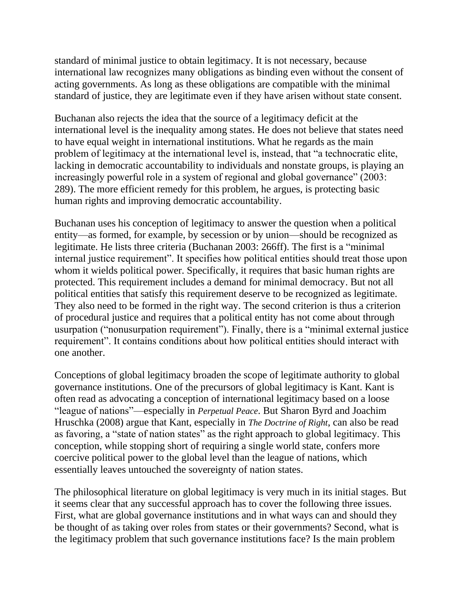standard of minimal justice to obtain legitimacy. It is not necessary, because international law recognizes many obligations as binding even without the consent of acting governments. As long as these obligations are compatible with the minimal standard of justice, they are legitimate even if they have arisen without state consent.

Buchanan also rejects the idea that the source of a legitimacy deficit at the international level is the inequality among states. He does not believe that states need to have equal weight in international institutions. What he regards as the main problem of legitimacy at the international level is, instead, that "a technocratic elite, lacking in democratic accountability to individuals and nonstate groups, is playing an increasingly powerful role in a system of regional and global governance" (2003: 289). The more efficient remedy for this problem, he argues, is protecting basic human rights and improving democratic accountability.

Buchanan uses his conception of legitimacy to answer the question when a political entity—as formed, for example, by secession or by union—should be recognized as legitimate. He lists three criteria (Buchanan 2003: 266ff). The first is a "minimal internal justice requirement". It specifies how political entities should treat those upon whom it wields political power. Specifically, it requires that basic human rights are protected. This requirement includes a demand for minimal democracy. But not all political entities that satisfy this requirement deserve to be recognized as legitimate. They also need to be formed in the right way. The second criterion is thus a criterion of procedural justice and requires that a political entity has not come about through usurpation ("nonusurpation requirement"). Finally, there is a "minimal external justice requirement". It contains conditions about how political entities should interact with one another.

Conceptions of global legitimacy broaden the scope of legitimate authority to global governance institutions. One of the precursors of global legitimacy is Kant. Kant is often read as advocating a conception of international legitimacy based on a loose ―league of nations‖—especially in *Perpetual Peace*. But Sharon Byrd and Joachim Hruschka (2008) argue that Kant, especially in *The Doctrine of Right*, can also be read as favoring, a "state of nation states" as the right approach to global legitimacy. This conception, while stopping short of requiring a single world state, confers more coercive political power to the global level than the league of nations, which essentially leaves untouched the sovereignty of nation states.

The philosophical literature on global legitimacy is very much in its initial stages. But it seems clear that any successful approach has to cover the following three issues. First, what are global governance institutions and in what ways can and should they be thought of as taking over roles from states or their governments? Second, what is the legitimacy problem that such governance institutions face? Is the main problem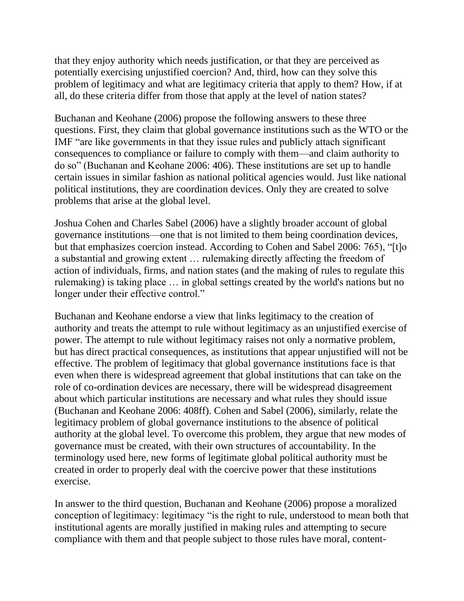that they enjoy authority which needs justification, or that they are perceived as potentially exercising unjustified coercion? And, third, how can they solve this problem of legitimacy and what are legitimacy criteria that apply to them? How, if at all, do these criteria differ from those that apply at the level of nation states?

Buchanan and Keohane (2006) propose the following answers to these three questions. First, they claim that global governance institutions such as the WTO or the IMF "are like governments in that they issue rules and publicly attach significant consequences to compliance or failure to comply with them—and claim authority to do so‖ (Buchanan and Keohane 2006: 406). These institutions are set up to handle certain issues in similar fashion as national political agencies would. Just like national political institutions, they are coordination devices. Only they are created to solve problems that arise at the global level.

Joshua Cohen and Charles Sabel (2006) have a slightly broader account of global governance institutions—one that is not limited to them being coordination devices, but that emphasizes coercion instead. According to Cohen and Sabel 2006: 765), "[t]o a substantial and growing extent … rulemaking directly affecting the freedom of action of individuals, firms, and nation states (and the making of rules to regulate this rulemaking) is taking place … in global settings created by the world's nations but no longer under their effective control."

Buchanan and Keohane endorse a view that links legitimacy to the creation of authority and treats the attempt to rule without legitimacy as an unjustified exercise of power. The attempt to rule without legitimacy raises not only a normative problem, but has direct practical consequences, as institutions that appear unjustified will not be effective. The problem of legitimacy that global governance institutions face is that even when there is widespread agreement that global institutions that can take on the role of co-ordination devices are necessary, there will be widespread disagreement about which particular institutions are necessary and what rules they should issue (Buchanan and Keohane 2006: 408ff). Cohen and Sabel (2006), similarly, relate the legitimacy problem of global governance institutions to the absence of political authority at the global level. To overcome this problem, they argue that new modes of governance must be created, with their own structures of accountability. In the terminology used here, new forms of legitimate global political authority must be created in order to properly deal with the coercive power that these institutions exercise.

In answer to the third question, Buchanan and Keohane (2006) propose a moralized conception of legitimacy: legitimacy "is the right to rule, understood to mean both that institutional agents are morally justified in making rules and attempting to secure compliance with them and that people subject to those rules have moral, content-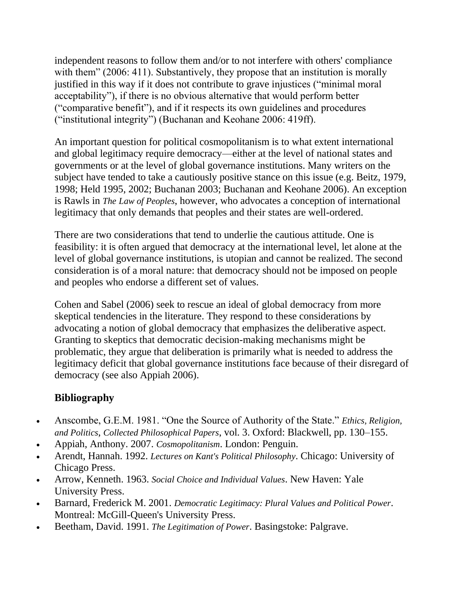independent reasons to follow them and/or to not interfere with others' compliance with them" (2006: 411). Substantively, they propose that an institution is morally justified in this way if it does not contribute to grave injustices ("minimal moral acceptability"), if there is no obvious alternative that would perform better (―comparative benefit‖), and if it respects its own guidelines and procedures ("institutional integrity") (Buchanan and Keohane 2006: 419ff).

An important question for political cosmopolitanism is to what extent international and global legitimacy require democracy—either at the level of national states and governments or at the level of global governance institutions. Many writers on the subject have tended to take a cautiously positive stance on this issue (e.g. Beitz, 1979, 1998; Held 1995, 2002; Buchanan 2003; Buchanan and Keohane 2006). An exception is Rawls in *The Law of Peoples*, however, who advocates a conception of international legitimacy that only demands that peoples and their states are well-ordered.

There are two considerations that tend to underlie the cautious attitude. One is feasibility: it is often argued that democracy at the international level, let alone at the level of global governance institutions, is utopian and cannot be realized. The second consideration is of a moral nature: that democracy should not be imposed on people and peoples who endorse a different set of values.

Cohen and Sabel (2006) seek to rescue an ideal of global democracy from more skeptical tendencies in the literature. They respond to these considerations by advocating a notion of global democracy that emphasizes the deliberative aspect. Granting to skeptics that democratic decision-making mechanisms might be problematic, they argue that deliberation is primarily what is needed to address the legitimacy deficit that global governance institutions face because of their disregard of democracy (see also Appiah 2006).

# **Bibliography**

- Anscombe, G.E.M. 1981. "One the Source of Authority of the State." *Ethics, Religion, and Politics*, *Collected Philosophical Papers*, vol. 3. Oxford: Blackwell, pp. 130–155.
- Appiah, Anthony. 2007. *Cosmopolitanism*. London: Penguin.
- Arendt, Hannah. 1992. *Lectures on Kant's Political Philosophy*. Chicago: University of Chicago Press.
- Arrow, Kenneth. 1963. *Social Choice and Individual Values*. New Haven: Yale University Press.
- Barnard, Frederick M. 2001. *Democratic Legitimacy: Plural Values and Political Power*. Montreal: McGill-Queen's University Press.
- Beetham, David. 1991. *The Legitimation of Power*. Basingstoke: Palgrave.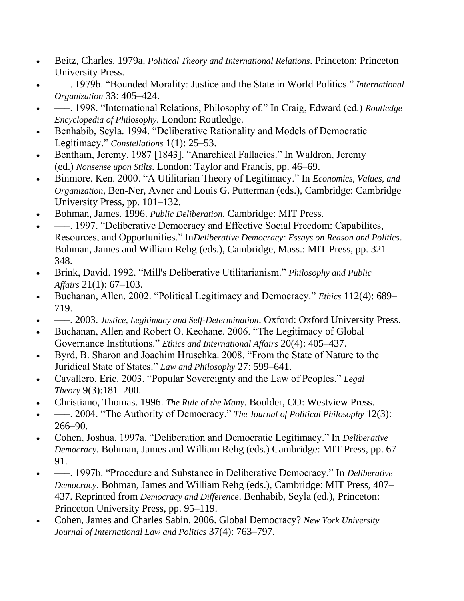- Beitz, Charles. 1979a. *Political Theory and International Relations*. Princeton: Princeton University Press.
- —–. 1979b. "Bounded Morality: Justice and the State in World Politics." *International Organization* 33: 405–424.
- — 1998. "International Relations, Philosophy of." In Craig, Edward (ed.) *Routledge Encyclopedia of Philosophy*. London: Routledge.
- Benhabib, Seyla. 1994. "Deliberative Rationality and Models of Democratic Legitimacy." *Constellations* 1(1): 25–53.
- Bentham, Jeremy. 1987 [1843]. "Anarchical Fallacies." In Waldron, Jeremy (ed.) *Nonsense upon Stilts*. London: Taylor and Francis, pp. 46–69.
- Binmore, Ken. 2000. "A Utilitarian Theory of Legitimacy." In *Economics, Values, and Organization*, Ben-Ner, Avner and Louis G. Putterman (eds.), Cambridge: Cambridge University Press, pp. 101–132.
- Bohman, James. 1996. *Public Deliberation*. Cambridge: MIT Press.
- –––. 1997. ―Deliberative Democracy and Effective Social Freedom: Capabilites, Resources, and Opportunities." In*Deliberative Democracy: Essays on Reason and Politics*. Bohman, James and William Rehg (eds.), Cambridge, Mass.: MIT Press, pp. 321– 348.
- Brink, David. 1992. "Mill's Deliberative Utilitarianism." *Philosophy and Public Affairs* 21(1): 67–103.
- Buchanan, Allen. 2002. "Political Legitimacy and Democracy." *Ethics* 112(4): 689– 719.
- –––. 2003. *Justice, Legitimacy and Self-Determination*. Oxford: Oxford University Press.
- Buchanan, Allen and Robert O. Keohane. 2006. "The Legitimacy of Global Governance Institutions." *Ethics and International Affairs* 20(4): 405–437.
- Byrd, B. Sharon and Joachim Hruschka. 2008. "From the State of Nature to the Juridical State of States.‖ *Law and Philosophy* 27: 599–641.
- Cavallero, Eric. 2003. "Popular Sovereignty and the Law of Peoples." *Legal Theory* 9(3):181–200.
- Christiano, Thomas. 1996. *The Rule of the Many*. Boulder, CO: Westview Press.
- —–. 2004. "The Authority of Democracy." *The Journal of Political Philosophy* 12(3): 266–90.
- Cohen, Joshua. 1997a. "Deliberation and Democratic Legitimacy." In *Deliberative Democracy*. Bohman, James and William Rehg (eds.) Cambridge: MIT Press, pp. 67– 91.
- ——. 1997b. "Procedure and Substance in Deliberative Democracy." In *Deliberative Democracy*. Bohman, James and William Rehg (eds.), Cambridge: MIT Press, 407– 437. Reprinted from *Democracy and Difference*. Benhabib, Seyla (ed.), Princeton: Princeton University Press, pp. 95–119.
- Cohen, James and Charles Sabin. 2006. Global Democracy? *New York University Journal of International Law and Politics* 37(4): 763–797.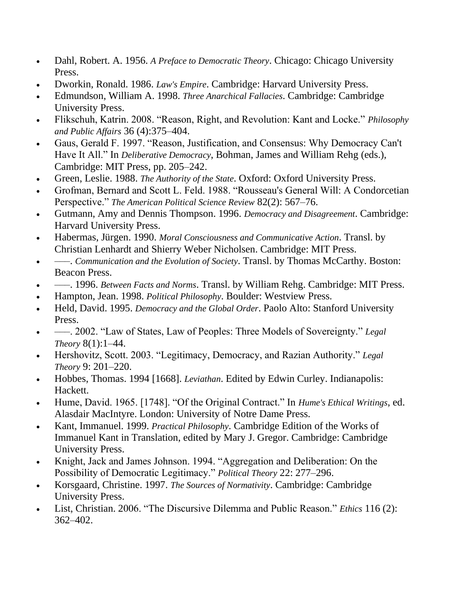- Dahl, Robert. A. 1956. *A Preface to Democratic Theory*. Chicago: Chicago University Press.
- Dworkin, Ronald. 1986. *Law's Empire*. Cambridge: Harvard University Press.
- Edmundson, William A. 1998. *Three Anarchical Fallacies*. Cambridge: Cambridge University Press.
- Flikschuh, Katrin. 2008. "Reason, Right, and Revolution: Kant and Locke." *Philosophy and Public Affairs* 36 (4):375–404.
- Gaus, Gerald F. 1997. "Reason, Justification, and Consensus: Why Democracy Can't Have It All." In *Deliberative Democracy*, Bohman, James and William Rehg (eds.), Cambridge: MIT Press, pp. 205–242.
- Green, Leslie. 1988. *The Authority of the State*. Oxford: Oxford University Press.
- Grofman, Bernard and Scott L. Feld. 1988. "Rousseau's General Will: A Condorcetian Perspective." *The American Political Science Review* 82(2): 567–76.
- Gutmann, Amy and Dennis Thompson. 1996. *Democracy and Disagreement*. Cambridge: Harvard University Press.
- Habermas, Jürgen. 1990. *Moral Consciousness and Communicative Action*. Transl. by Christian Lenhardt and Shierry Weber Nicholsen. Cambridge: MIT Press.
- –––. *Communication and the Evolution of Society*. Transl. by Thomas McCarthy. Boston: Beacon Press.
- –––. 1996. *Between Facts and Norms*. Transl. by William Rehg. Cambridge: MIT Press.
- Hampton, Jean. 1998. *Political Philosophy*. Boulder: Westview Press.
- Held, David. 1995. *Democracy and the Global Order*. Paolo Alto: Stanford University Press.
- —–. 2002. "Law of States, Law of Peoples: Three Models of Sovereignty." *Legal Theory* 8(1):1–44.
- Hershovitz, Scott. 2003. "Legitimacy, Democracy, and Razian Authority." *Legal Theory* 9: 201–220.
- Hobbes, Thomas. 1994 [1668]. *Leviathan*. Edited by Edwin Curley. Indianapolis: Hackett.
- Hume, David. 1965. [1748]. "Of the Original Contract." In *Hume's Ethical Writings*, ed. Alasdair MacIntyre. London: University of Notre Dame Press.
- Kant, Immanuel. 1999. *Practical Philosophy*. Cambridge Edition of the Works of Immanuel Kant in Translation, edited by Mary J. Gregor. Cambridge: Cambridge University Press.
- Knight, Jack and James Johnson. 1994. "Aggregation and Deliberation: On the Possibility of Democratic Legitimacy." *Political Theory* 22: 277–296.
- Korsgaard, Christine. 1997. *The Sources of Normativity*. Cambridge: Cambridge University Press.
- List, Christian. 2006. "The Discursive Dilemma and Public Reason." *Ethics* 116 (2): 362–402.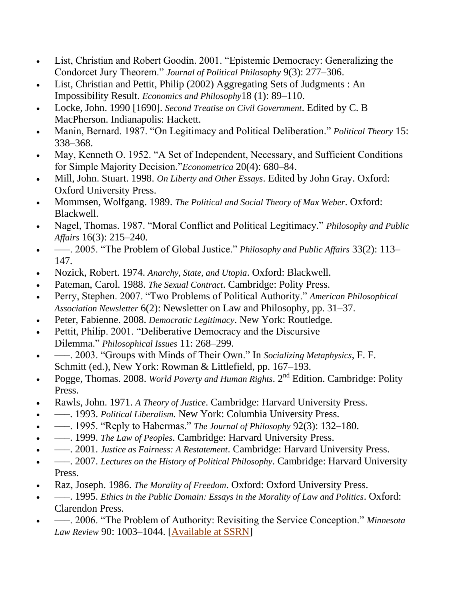- List, Christian and Robert Goodin. 2001. "Epistemic Democracy: Generalizing the Condorcet Jury Theorem." *Journal of Political Philosophy* 9(3): 277–306.
- List, Christian and Pettit, Philip (2002) Aggregating Sets of Judgments : An Impossibility Result. *Economics and Philosophy*18 (1): 89–110.
- Locke, John. 1990 [1690]. *Second Treatise on Civil Government*. Edited by C. B MacPherson. Indianapolis: Hackett.
- Manin, Bernard. 1987. "On Legitimacy and Political Deliberation." *Political Theory* 15: 338–368.
- May, Kenneth O. 1952. "A Set of Independent, Necessary, and Sufficient Conditions for Simple Majority Decision."*Econometrica* 20(4): 680–84.
- Mill, John. Stuart. 1998. *On Liberty and Other Essays*. Edited by John Gray. Oxford: Oxford University Press.
- Mommsen, Wolfgang. 1989. *The Political and Social Theory of Max Weber*. Oxford: Blackwell.
- Nagel, Thomas. 1987. "Moral Conflict and Political Legitimacy." *Philosophy and Public Affairs* 16(3): 215–240.
- ——. 2005. "The Problem of Global Justice." *Philosophy and Public Affairs* 33(2): 113– 147.
- Nozick, Robert. 1974. *Anarchy, State, and Utopia*. Oxford: Blackwell.
- Pateman, Carol. 1988. *The Sexual Contract*. Cambridge: Polity Press.
- Perry, Stephen. 2007. "Two Problems of Political Authority." *American Philosophical Association Newsletter* 6(2): Newsletter on Law and Philosophy, pp. 31–37.
- Peter, Fabienne. 2008. *Democratic Legitimacy*. New York: Routledge.
- Pettit, Philip. 2001. "Deliberative Democracy and the Discursive Dilemma.‖ *Philosophical Issues* 11: 268–299.
- —–. 2003. "Groups with Minds of Their Own." In *Socializing Metaphysics*, F. F. Schmitt (ed.), New York: Rowman & Littlefield, pp. 167–193.
- Pogge, Thomas. 2008. *World Poverty and Human Rights*. 2nd Edition. Cambridge: Polity Press.
- Rawls, John. 1971. *A Theory of Justice*. Cambridge: Harvard University Press.
- –––. 1993. *Political Liberalism.* New York: Columbia University Press.
- —–. 1995. "Reply to Habermas." *The Journal of Philosophy* 92(3): 132–180.
- –––. 1999. *The Law of Peoples*. Cambridge: Harvard University Press.
- –––. 2001. *Justice as Fairness: A Restatement*. Cambridge: Harvard University Press.
- –––. 2007. *Lectures on the History of Political Philosophy*. Cambridge: Harvard University Press.
- Raz, Joseph. 1986. *The Morality of Freedom*. Oxford: Oxford University Press.
- –––. 1995. *Ethics in the Public Domain: Essays in the Morality of Law and Politics*. Oxford: Clarendon Press.
- —–. 2006. "The Problem of Authority: Revisiting the Service Conception." *Minnesota Law Review* 90: 1003–1044. [\[Available at SSRN\]](http://ssrn.com/abstract=999849)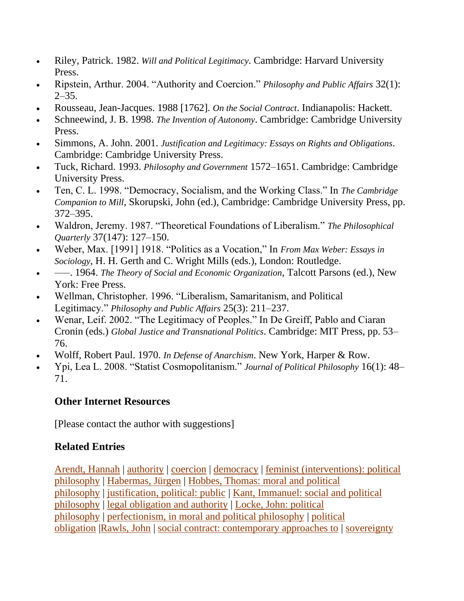- Riley, Patrick. 1982. *Will and Political Legitimacy*. Cambridge: Harvard University Press.
- Ripstein, Arthur. 2004. "Authority and Coercion." *Philosophy and Public Affairs* 32(1):  $2 - 35.$
- Rousseau, Jean-Jacques. 1988 [1762]. *On the Social Contract*. Indianapolis: Hackett.
- Schneewind, J. B. 1998. *The Invention of Autonomy*. Cambridge: Cambridge University Press.
- Simmons, A. John. 2001. *Justification and Legitimacy: Essays on Rights and Obligations*. Cambridge: Cambridge University Press.
- Tuck, Richard. 1993. *Philosophy and Government* 1572–1651. Cambridge: Cambridge University Press.
- Ten, C. L. 1998. "Democracy, Socialism, and the Working Class." In *The Cambridge Companion to Mill*, Skorupski, John (ed.), Cambridge: Cambridge University Press, pp. 372–395.
- Waldron, Jeremy. 1987. "Theoretical Foundations of Liberalism." The Philosophical *Quarterly* 37(147): 127–150.
- Weber, Max. [1991] 1918. "Politics as a Vocation," In *From Max Weber: Essays in Sociology*, H. H. Gerth and C. Wright Mills (eds.), London: Routledge.
- –––. 1964. *The Theory of Social and Economic Organization*, Talcott Parsons (ed.), New York: Free Press.
- Wellman, Christopher. 1996. "Liberalism, Samaritanism, and Political Legitimacy.‖ *Philosophy and Public Affairs* 25(3): 211–237.
- Wenar, Leif. 2002. "The Legitimacy of Peoples." In De Greiff, Pablo and Ciaran Cronin (eds.) *Global Justice and Transnational Politics*. Cambridge: MIT Press, pp. 53– 76.
- Wolff, Robert Paul. 1970. *In Defense of Anarchism*. New York, Harper & Row.
- Ypi, Lea L. 2008. "Statist Cosmopolitanism." *Journal of Political Philosophy* 16(1): 48– 71.

# **Other Internet Resources**

[Please contact the author with suggestions]

# **Related Entries**

[Arendt, Hannah](http://plato.stanford.edu/entries/arendt/) | [authority](http://plato.stanford.edu/entries/authority/) | [coercion](http://plato.stanford.edu/entries/coercion/) | [democracy](http://plato.stanford.edu/entries/democracy/) | [feminist \(interventions\): political](http://plato.stanford.edu/entries/feminism-political/)  [philosophy](http://plato.stanford.edu/entries/feminism-political/) | [Habermas, Jürgen](http://plato.stanford.edu/entries/habermas/) | [Hobbes, Thomas: moral and political](http://plato.stanford.edu/entries/hobbes-moral/)  [philosophy](http://plato.stanford.edu/entries/hobbes-moral/) | [justification, political: public](http://plato.stanford.edu/entries/justification-public/) | [Kant, Immanuel: social and political](http://plato.stanford.edu/entries/kant-social-political/)  [philosophy](http://plato.stanford.edu/entries/kant-social-political/) | [legal obligation and authority](http://plato.stanford.edu/entries/legal-obligation/) | [Locke, John: political](http://plato.stanford.edu/entries/locke-political/)  [philosophy](http://plato.stanford.edu/entries/locke-political/) | [perfectionism, in moral and political philosophy](http://plato.stanford.edu/entries/perfectionism-moral/) | [political](http://plato.stanford.edu/entries/political-obligation/)  [obligation](http://plato.stanford.edu/entries/political-obligation/) [|Rawls, John](http://plato.stanford.edu/entries/rawls/) | [social contract: contemporary approaches to](http://plato.stanford.edu/entries/contractarianism-contemporary/) | [sovereignty](http://plato.stanford.edu/entries/sovereignty/)